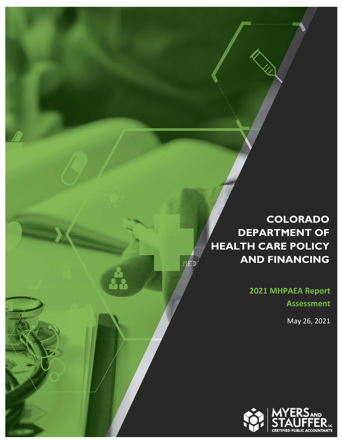### **COLORADO DEPARTMENT OF HEALTH CARE POLICY AND FINANCING**

MED

**2021 MHPAEA Report Assessment** 

May 26, 2021

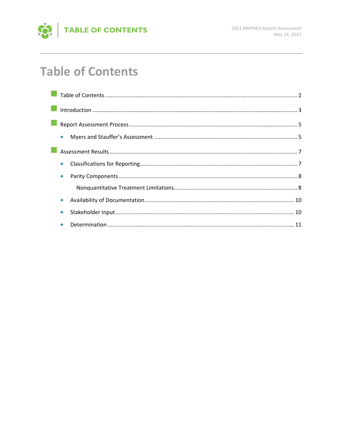

# **Table of Contents**

| $\bullet$ |  |
|-----------|--|
|           |  |
| $\bullet$ |  |
| $\bullet$ |  |
|           |  |
|           |  |
|           |  |
|           |  |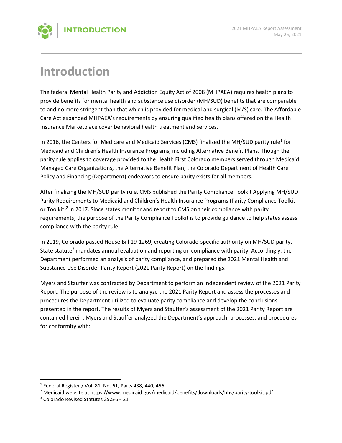

## **Introduction**

The federal Mental Health Parity and Addiction Equity Act of 2008 (MHPAEA) requires health plans to provide benefits for mental health and substance use disorder (MH/SUD) benefits that are comparable to and no more stringent than that which is provided for medical and surgical (M/S) care. The Affordable Care Act expanded MHPAEA's requirements by ensuring qualified health plans offered on the Health Insurance Marketplace cover behavioral health treatment and services.

In 2016, the Centers for Medicare and Medicaid Services (CMS) finalized the MH/SUD parity rule<sup>1</sup> for Medicaid and Children's Health Insurance Programs, including Alternative Benefit Plans. Though the parity rule applies to coverage provided to the Health First Colorado members served through Medicaid Managed Care Organizations, the Alternative Benefit Plan, the Colorado Department of Health Care Policy and Financing (Department) endeavors to ensure parity exists for all members.

After finalizing the MH/SUD parity rule, CMS published the Parity Compliance Toolkit Applying MH/SUD Parity Requirements to Medicaid and Children's Health Insurance Programs (Parity Compliance Toolkit or Toolkit)<sup>2</sup> in 2017. Since states monitor and report to CMS on their compliance with parity requirements, the purpose of the Parity Compliance Toolkit is to provide guidance to help states assess compliance with the parity rule.

In 2019, Colorado passed House Bill 19‐1269, creating Colorado‐specific authority on MH/SUD parity. State statute<sup>3</sup> mandates annual evaluation and reporting on compliance with parity. Accordingly, the Department performed an analysis of parity compliance, and prepared the 2021 Mental Health and Substance Use Disorder Parity Report (2021 Parity Report) on the findings.

Myers and Stauffer was contracted by Department to perform an independent review of the 2021 Parity Report. The purpose of the review is to analyze the 2021 Parity Report and assess the processes and procedures the Department utilized to evaluate parity compliance and develop the conclusions presented in the report. The results of Myers and Stauffer's assessment of the 2021 Parity Report are contained herein. Myers and Stauffer analyzed the Department's approach, processes, and procedures for conformity with:

<sup>1</sup> Federal Register / Vol. 81, No. 61, Parts 438, 440, 456

<sup>2</sup> Medicaid website at https://www.medicaid.gov/medicaid/benefits/downloads/bhs/parity‐toolkit.pdf.

<sup>3</sup> Colorado Revised Statutes 25.5‐5‐421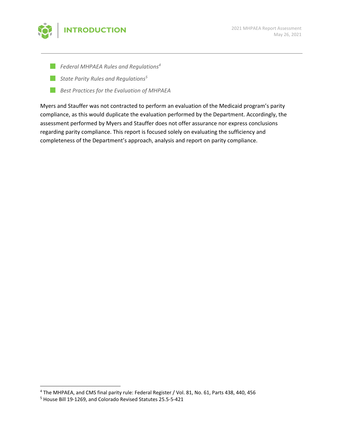

- *Federal MHPAEA Rules and Regulations4*
- *State Parity Rules and Regulations5*
- *Best Practices for the Evaluation of MHPAEA*

Myers and Stauffer was not contracted to perform an evaluation of the Medicaid program's parity compliance, as this would duplicate the evaluation performed by the Department. Accordingly, the assessment performed by Myers and Stauffer does not offer assurance nor express conclusions regarding parity compliance. This report is focused solely on evaluating the sufficiency and completeness of the Department's approach, analysis and report on parity compliance.

<sup>4</sup> The MHPAEA, and CMS final parity rule: Federal Register / Vol. 81, No. 61, Parts 438, 440, 456

<sup>5</sup> House Bill 19‐1269, and Colorado Revised Statutes 25.5‐5‐421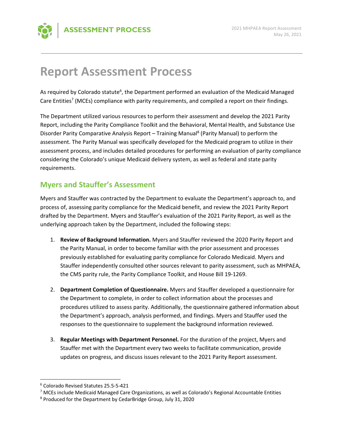

## **Report Assessment Process**

As required by Colorado statute<sup>6</sup>, the Department performed an evaluation of the Medicaid Managed Care Entities<sup>7</sup> (MCEs) compliance with parity requirements, and compiled a report on their findings.

The Department utilized various resources to perform their assessment and develop the 2021 Parity Report, including the Parity Compliance Toolkit and the Behavioral, Mental Health, and Substance Use Disorder Parity Comparative Analysis Report - Training Manual<sup>8</sup> (Parity Manual) to perform the assessment. The Parity Manual was specifically developed for the Medicaid program to utilize in their assessment process, and includes detailed procedures for performing an evaluation of parity compliance considering the Colorado's unique Medicaid delivery system, as well as federal and state parity requirements.

#### **Myers and Stauffer's Assessment**

Myers and Stauffer was contracted by the Department to evaluate the Department's approach to, and process of, assessing parity compliance for the Medicaid benefit, and review the 2021 Parity Report drafted by the Department. Myers and Stauffer's evaluation of the 2021 Parity Report, as well as the underlying approach taken by the Department, included the following steps:

- 1. **Review of Background Information.** Myers and Stauffer reviewed the 2020 Parity Report and the Parity Manual, in order to become familiar with the prior assessment and processes previously established for evaluating parity compliance for Colorado Medicaid. Myers and Stauffer independently consulted other sources relevant to parity assessment, such as MHPAEA, the CMS parity rule, the Parity Compliance Toolkit, and House Bill 19‐1269.
- 2. **Department Completion of Questionnaire.** Myers and Stauffer developed a questionnaire for the Department to complete, in order to collect information about the processes and procedures utilized to assess parity. Additionally, the questionnaire gathered information about the Department's approach, analysis performed, and findings. Myers and Stauffer used the responses to the questionnaire to supplement the background information reviewed.
- 3. **Regular Meetings with Department Personnel.** For the duration of the project, Myers and Stauffer met with the Department every two weeks to facilitate communication, provide updates on progress, and discuss issues relevant to the 2021 Parity Report assessment.

 6 Colorado Revised Statutes 25.5‐5‐421

<sup>&</sup>lt;sup>7</sup> MCEs include Medicaid Managed Care Organizations, as well as Colorado's Regional Accountable Entities

<sup>8</sup> Produced for the Department by CedarBridge Group, July 31, 2020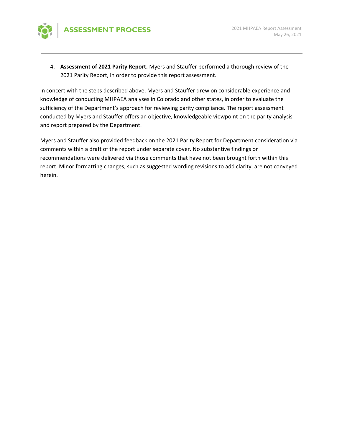

4. **Assessment of 2021 Parity Report.** Myers and Stauffer performed a thorough review of the 2021 Parity Report, in order to provide this report assessment.

In concert with the steps described above, Myers and Stauffer drew on considerable experience and knowledge of conducting MHPAEA analyses in Colorado and other states, in order to evaluate the sufficiency of the Department's approach for reviewing parity compliance. The report assessment conducted by Myers and Stauffer offers an objective, knowledgeable viewpoint on the parity analysis and report prepared by the Department.

Myers and Stauffer also provided feedback on the 2021 Parity Report for Department consideration via comments within a draft of the report under separate cover. No substantive findings or recommendations were delivered via those comments that have not been brought forth within this report. Minor formatting changes, such as suggested wording revisions to add clarity, are not conveyed herein.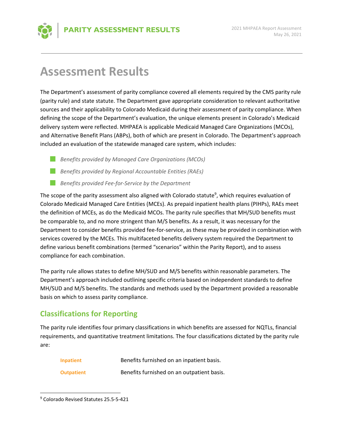### **Assessment Results**

The Department's assessment of parity compliance covered all elements required by the CMS parity rule (parity rule) and state statute. The Department gave appropriate consideration to relevant authoritative sources and their applicability to Colorado Medicaid during their assessment of parity compliance. When defining the scope of the Department's evaluation, the unique elements present in Colorado's Medicaid delivery system were reflected. MHPAEA is applicable Medicaid Managed Care Organizations (MCOs), and Alternative Benefit Plans (ABPs), both of which are present in Colorado. The Department's approach included an evaluation of the statewide managed care system, which includes:

- *Benefits provided by Managed Care Organizations (MCOs)*
- *Benefits provided by Regional Accountable Entities (RAEs)*
- *Benefits provided Fee‐for‐Service by the Department*

The scope of the parity assessment also aligned with Colorado statute<sup>9</sup>, which requires evaluation of Colorado Medicaid Managed Care Entities (MCEs). As prepaid inpatient health plans (PIHPs), RAEs meet the definition of MCEs, as do the Medicaid MCOs. The parity rule specifies that MH/SUD benefits must be comparable to, and no more stringent than M/S benefits. As a result, it was necessary for the Department to consider benefits provided fee-for-service, as these may be provided in combination with services covered by the MCEs. This multifaceted benefits delivery system required the Department to define various benefit combinations (termed "scenarios" within the Parity Report), and to assess compliance for each combination.

The parity rule allows states to define MH/SUD and M/S benefits within reasonable parameters. The Department's approach included outlining specific criteria based on independent standards to define MH/SUD and M/S benefits. The standards and methods used by the Department provided a reasonable basis on which to assess parity compliance.

#### **Classifications for Reporting**

The parity rule identifies four primary classifications in which benefits are assessed for NQTLs, financial requirements, and quantitative treatment limitations. The four classifications dictated by the parity rule are:

| Inpatient         | Benefits furnished on an inpatient basis.  |
|-------------------|--------------------------------------------|
| <b>Outpatient</b> | Benefits furnished on an outpatient basis. |

 9 Colorado Revised Statutes 25.5‐5‐421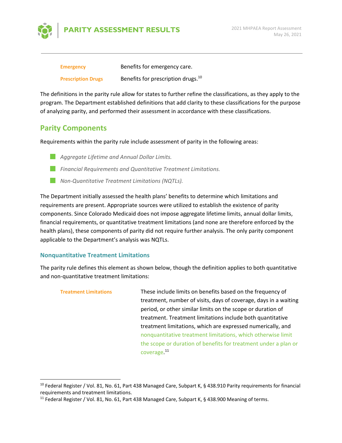

| <b>Emergency</b>          | Benefits for emergency care.                   |
|---------------------------|------------------------------------------------|
| <b>Prescription Drugs</b> | Benefits for prescription drugs. <sup>10</sup> |

The definitions in the parity rule allow for states to further refine the classifications, as they apply to the program. The Department established definitions that add clarity to these classifications for the purpose of analyzing parity, and performed their assessment in accordance with these classifications.

#### **Parity Components**

Requirements within the parity rule include assessment of parity in the following areas:

- *Aggregate Lifetime and Annual Dollar Limits.*
- *Financial Requirements and Quantitative Treatment Limitations.*
- *Non‐Quantitative Treatment Limitations (NQTLs).*

The Department initially assessed the health plans' benefits to determine which limitations and requirements are present. Appropriate sources were utilized to establish the existence of parity components. Since Colorado Medicaid does not impose aggregate lifetime limits, annual dollar limits, financial requirements, or quantitative treatment limitations (and none are therefore enforced by the health plans), these components of parity did not require further analysis. The only parity component applicable to the Department's analysis was NQTLs.

#### **Nonquantitative Treatment Limitations**

The parity rule defines this element as shown below, though the definition applies to both quantitative and non-quantitative treatment limitations:

| <b>Treatment Limitations</b> | These include limits on benefits based on the frequency of       |
|------------------------------|------------------------------------------------------------------|
|                              | treatment, number of visits, days of coverage, days in a waiting |
|                              | period, or other similar limits on the scope or duration of      |
|                              | treatment. Treatment limitations include both quantitative       |
|                              | treatment limitations, which are expressed numerically, and      |
|                              | nonquantitative treatment limitations, which otherwise limit     |
|                              | the scope or duration of benefits for treatment under a plan or  |
|                              | coverage. <sup>11</sup>                                          |

<sup>&</sup>lt;sup>10</sup> Federal Register / Vol. 81, No. 61, Part 438 Managed Care, Subpart K, § 438.910 Parity requirements for financial requirements and treatment limitations.

<sup>&</sup>lt;sup>11</sup> Federal Register / Vol. 81, No. 61, Part 438 Managed Care, Subpart K, § 438.900 Meaning of terms.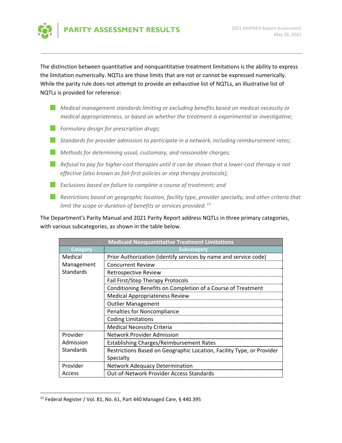

The distinction between quantitative and nonquantitative treatment limitations is the ability to express the limitation numerically. NQTLs are those limits that are not or cannot be expressed numerically. While the parity rule does not attempt to provide an exhaustive list of NQTLs, an illustrative list of NQTLs is provided for reference:

- *Medical management standards limiting or excluding benefits based on medical necessity or medical appropriateness, or based on whether the treatment is experimental or investigative;*
- *Formulary design for prescription drugs;*
- *Standards for provider admission to participate in a network, including reimbursement rates;*
- *Methods for determining usual, customary, and reasonable charges;*
- Refusal to pay for higher-cost therapies until it can be shown that a lower-cost therapy is not *effective (also known as fail‐first policies or step therapy protocols);*
- **Exclusions based on failure to complete a course of treatment; and**
- *Restrictions based on geographic location, facility type, provider specialty, and other criteria that limit the scope or duration of benefits or services provided. 12*

The Department's Parity Manual and 2021 Parity Report address NQTLs in three primary categories, with various subcategories, as shown in the table below.

| <b>Medicaid Nonquantitative Treatment Limitations</b> |                                                                       |  |  |  |  |
|-------------------------------------------------------|-----------------------------------------------------------------------|--|--|--|--|
| <b>Category</b>                                       | Subcategory                                                           |  |  |  |  |
| Medical                                               | Prior Authorization (identify services by name and service code)      |  |  |  |  |
| Management                                            | <b>Concurrent Review</b>                                              |  |  |  |  |
| <b>Standards</b>                                      | <b>Retrospective Review</b>                                           |  |  |  |  |
|                                                       | Fail First/Step Therapy Protocols                                     |  |  |  |  |
|                                                       | Conditioning Benefits on Completion of a Course of Treatment          |  |  |  |  |
|                                                       | <b>Medical Appropriateness Review</b>                                 |  |  |  |  |
|                                                       | <b>Outlier Management</b>                                             |  |  |  |  |
|                                                       | Penalties for Noncompliance                                           |  |  |  |  |
|                                                       | <b>Coding Limitations</b>                                             |  |  |  |  |
|                                                       | <b>Medical Necessity Criteria</b>                                     |  |  |  |  |
| Provider                                              | <b>Network Provider Admission</b>                                     |  |  |  |  |
| Admission                                             | <b>Establishing Charges/Reimbursement Rates</b>                       |  |  |  |  |
| <b>Standards</b>                                      | Restrictions Based on Geographic Location, Facility Type, or Provider |  |  |  |  |
|                                                       | Specialty                                                             |  |  |  |  |
| Provider                                              | <b>Network Adequacy Determination</b>                                 |  |  |  |  |
| Access                                                | <b>Out-of-Network Provider Access Standards</b>                       |  |  |  |  |

 12 Federal Register / Vol. 81, No. 61, Part 440 Managed Care, § 440.395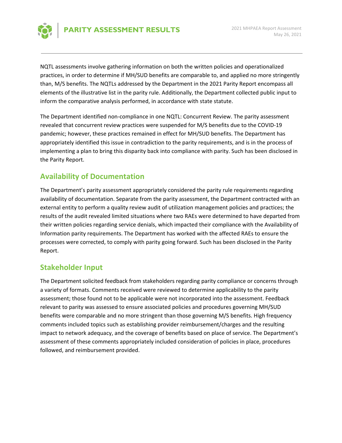

NQTL assessments involve gathering information on both the written policies and operationalized practices, in order to determine if MH/SUD benefits are comparable to, and applied no more stringently than, M/S benefits. The NQTLs addressed by the Department in the 2021 Parity Report encompass all elements of the illustrative list in the parity rule. Additionally, the Department collected public input to inform the comparative analysis performed, in accordance with state statute.

The Department identified non-compliance in one NQTL: Concurrent Review. The parity assessment revealed that concurrent review practices were suspended for M/S benefits due to the COVID‐19 pandemic; however, these practices remained in effect for MH/SUD benefits. The Department has appropriately identified this issue in contradiction to the parity requirements, and is in the process of implementing a plan to bring this disparity back into compliance with parity. Such has been disclosed in the Parity Report.

#### **Availability of Documentation**

The Department's parity assessment appropriately considered the parity rule requirements regarding availability of documentation. Separate from the parity assessment, the Department contracted with an external entity to perform a quality review audit of utilization management policies and practices; the results of the audit revealed limited situations where two RAEs were determined to have departed from their written policies regarding service denials, which impacted their compliance with the Availability of Information parity requirements. The Department has worked with the affected RAEs to ensure the processes were corrected, to comply with parity going forward. Such has been disclosed in the Parity Report.

#### **Stakeholder Input**

The Department solicited feedback from stakeholders regarding parity compliance or concerns through a variety of formats. Comments received were reviewed to determine applicability to the parity assessment; those found not to be applicable were not incorporated into the assessment. Feedback relevant to parity was assessed to ensure associated policies and procedures governing MH/SUD benefits were comparable and no more stringent than those governing M/S benefits. High frequency comments included topics such as establishing provider reimbursement/charges and the resulting impact to network adequacy, and the coverage of benefits based on place of service. The Department's assessment of these comments appropriately included consideration of policies in place, procedures followed, and reimbursement provided.